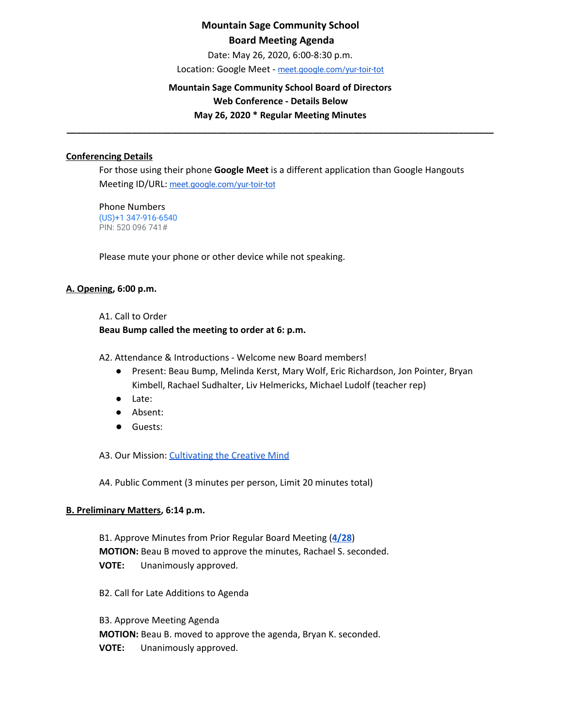Date: May 26, 2020, 6:00-8:30 p.m.

Location: Google Meet - [meet.google.com/yur-toir-tot](http://meet.google.com/yur-toir-tot)

## **Mountain Sage Community School Board of Directors Web Conference - Details Below**

**May 26, 2020 \* Regular Meeting Minutes \_\_\_\_\_\_\_\_\_\_\_\_\_\_\_\_\_\_\_\_\_\_\_\_\_\_\_\_\_\_\_\_\_\_\_\_\_\_\_\_\_\_\_\_\_\_\_\_\_\_\_\_\_\_\_\_\_\_\_\_\_\_\_\_\_\_\_\_\_\_\_\_\_\_\_\_\_\_\_\_\_\_\_\_\_**

## **Conferencing Details**

For those using their phone **Google Meet** is a different application than Google Hangouts Meeting ID/URL: [meet.google.com/yur-toir-tot](http://meet.google.com/yur-toir-tot)

Phone Numbers (US)+1 347-916-6540 PIN: 520 096 741#

Please mute your phone or other device while not speaking.

## **A. Opening, 6:00 p.m.**

# A1. Call to Order

## **Beau Bump called the meeting to order at 6: p.m.**

A2. Attendance & Introductions - Welcome new Board members!

- Present: Beau Bump, Melinda Kerst, Mary Wolf, Eric Richardson, Jon Pointer, Bryan Kimbell, Rachael Sudhalter, Liv Helmericks, Michael Ludolf (teacher rep)
- Late:
- Absent:
- Guests:

A3. Our Mission: [Cultivating](http://www.mountainsage.org/mission-and-vision.html) the Creative Mind

A4. Public Comment (3 minutes per person, Limit 20 minutes total)

## **B. Preliminary Matters, 6:14 p.m.**

B1. Approve Minutes from Prior Regular Board Meeting (**[4/28](https://docs.google.com/document/d/1NnO2W6uGocYpnL8WPJPKvtVwqBkm9o4iOlTMZVjYFBc/edit?usp=sharing)**) **MOTION:** Beau B moved to approve the minutes, Rachael S. seconded. **VOTE:** Unanimously approved.

B2. Call for Late Additions to Agenda

B3. Approve Meeting Agenda **MOTION:** Beau B. moved to approve the agenda, Bryan K. seconded. **VOTE:** Unanimously approved.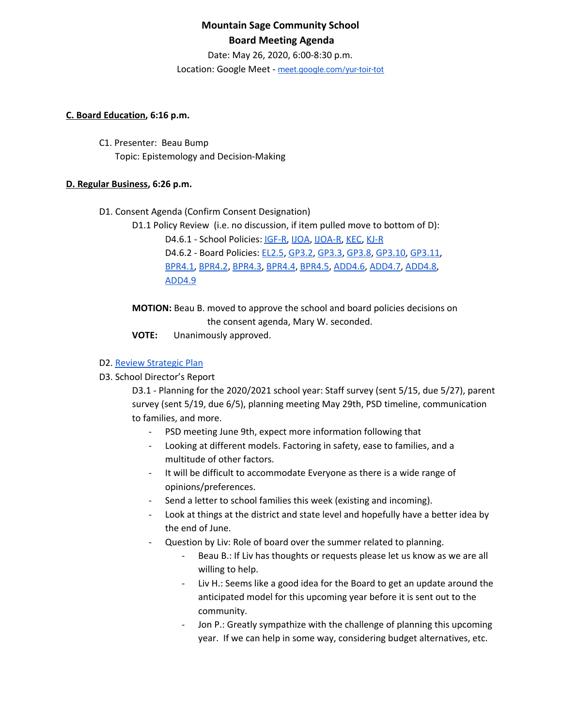Date: May 26, 2020, 6:00-8:30 p.m.

Location: Google Meet - [meet.google.com/yur-toir-tot](http://meet.google.com/yur-toir-tot)

#### **C. Board Education, 6:16 p.m.**

C1. Presenter: Beau Bump Topic: Epistemology and Decision-Making

## **D. Regular Business, 6:26 p.m.**

- D1. Consent Agenda (Confirm Consent Designation)
	- D1.1 Policy Review (i.e. no discussion, if item pulled move to bottom of D):

D4.6.1 - School Policies: [IGF-R,](https://drive.google.com/open?id=1miaI655qSVx0mkoge_Ogf0wfQe_WHysQOHWy3E8vP_4) [IJOA,](https://drive.google.com/open?id=127iMJeasFSKC9cgptf53Po-Lt65l7qPxlFaFTCDx8Bc) [IJOA-R](https://drive.google.com/open?id=10D8cL9gSGsZ4qw0McfOHYMYGB72Y2tjHtReRjqjzPfw), [KEC](https://drive.google.com/open?id=108m23bf4wN-nGySmWFhaqPyzr6OifhWuoCBYjYqfRoE), [KJ-R](https://docs.google.com/document/d/1Y4ZRTfhnfaBxuilXfk0sCEiIzcjzBLQFw72AJVi7ZmQ)

D4.6.2 - Board Policies: [EL2.5](https://docs.google.com/document/d/1nYs8TvRZiMJCIYsfBXl8_YG7hKr1aksmEDiekAFgNk8), [GP3.2](https://docs.google.com/document/d/1hnkmTRt9MDSaMV_ZQoyMefFZinry9VycskNaaV3UnGE), [GP3.3,](https://docs.google.com/document/d/1rCNyuUn-oRMQUnt7UX3Ur8rkx1Y8x7-CkbfRWeG56kU) [GP3.8](https://docs.google.com/document/d/1jQ-h_nZxYr44jzisoAamCD-ZTlqzI_RwpOrxd1MbjgY), [GP3.10,](https://docs.google.com/document/d/1SlF3cHVQfU9alRa-s9YSLYbjkR3MyXITu4wVCfhZyuU) [GP3.11](https://docs.google.com/document/d/1wBiDP8kqKlyJ4ohM3_tg5_pp2Uy8FXx9msG9Vqy2trM),

[BPR4.1,](https://docs.google.com/document/d/1MaY4A5hU38xf4iHiE_6zBUpoW5awS9rkKzmTJqAYekE) [BPR4.2](https://docs.google.com/document/d/1LqJS08QMNRroiBdHY9PX6tJcYVbi7vw6PYEUeQYswQk), [BPR4.3](https://docs.google.com/document/d/1KjkHrBW0EZGUtIS6mO-iS1h0bR_5FtVadqiCsk21Vqg), [BPR4.4,](https://docs.google.com/document/d/1hG_q6BOaj5OpBxxx2oIUKsWh_vFuplQc5yH9C3KdkSM) [BPR4.5](https://docs.google.com/document/d/1oVLEWxeB8eOXqKMs1O0AzPP6iiBPUGICnLCVqxdQkFw), [ADD4.6,](https://docs.google.com/document/d/1jrfdZDvG6FLRfkDB7vcMKFRzbfBsAh0vVk8UD7TL2h4) [ADD4.7](https://docs.google.com/document/d/1Q-912meTl_VGsPnM1c_GAABAOibREAKKj1S-GzD51ZM), [ADD4.8,](https://docs.google.com/document/d/1gc0LQdyzkk8w7Nxegsq7Pc5SlP84wwAHRijWtk8bn6I) [ADD4.9](https://docs.google.com/document/d/1Dh87SCZ925TBKfq-QiTPdGFE9LQLyNdPv1zlrlrXJdU)

**MOTION:** Beau B. moved to approve the school and board policies decisions on the consent agenda, Mary W. seconded.

**VOTE:** Unanimously approved.

## D2. Review [Strategic](https://drive.google.com/file/d/1bIEAL8S8NnDx9PPJRR79h1dLsXFMCh-t/view?usp=sharing) Plan

D3. School Director's Report

D3.1 - Planning for the 2020/2021 school year: Staff survey (sent 5/15, due 5/27), parent survey (sent 5/19, due 6/5), planning meeting May 29th, PSD timeline, communication to families, and more.

- PSD meeting June 9th, expect more information following that
- Looking at different models. Factoring in safety, ease to families, and a multitude of other factors.
- It will be difficult to accommodate Everyone as there is a wide range of opinions/preferences.
- Send a letter to school families this week (existing and incoming).
- Look at things at the district and state level and hopefully have a better idea by the end of June.
- Question by Liv: Role of board over the summer related to planning.
	- Beau B.: If Liv has thoughts or requests please let us know as we are all willing to help.
	- Liv H.: Seems like a good idea for the Board to get an update around the anticipated model for this upcoming year before it is sent out to the community.
	- Jon P.: Greatly sympathize with the challenge of planning this upcoming year. If we can help in some way, considering budget alternatives, etc.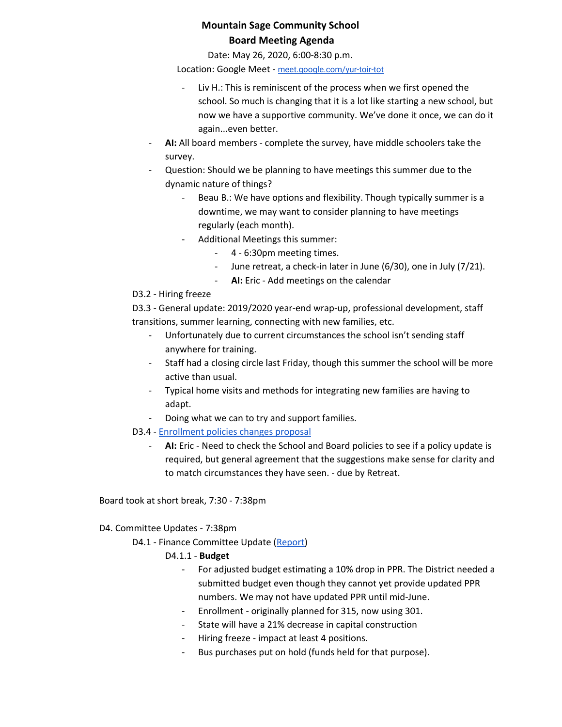Date: May 26, 2020, 6:00-8:30 p.m.

Location: Google Meet - [meet.google.com/yur-toir-tot](http://meet.google.com/yur-toir-tot)

- Liv H.: This is reminiscent of the process when we first opened the school. So much is changing that it is a lot like starting a new school, but now we have a supportive community. We've done it once, we can do it again...even better.
- AI: All board members complete the survey, have middle schoolers take the survey.
- Question: Should we be planning to have meetings this summer due to the dynamic nature of things?
	- Beau B.: We have options and flexibility. Though typically summer is a downtime, we may want to consider planning to have meetings regularly (each month).
	- Additional Meetings this summer:
		- 4 6:30pm meeting times.
		- June retreat, a check-in later in June (6/30), one in July (7/21).
		- **AI:** Eric Add meetings on the calendar

## D3.2 - Hiring freeze

D3.3 - General update: 2019/2020 year-end wrap-up, professional development, staff transitions, summer learning, connecting with new families, etc.

- Unfortunately due to current circumstances the school isn't sending staff anywhere for training.
- Staff had a closing circle last Friday, though this summer the school will be more active than usual.
- Typical home visits and methods for integrating new families are having to adapt.
- Doing what we can to try and support families.
- D3.4 [Enrollment](https://docs.google.com/document/d/1RCgege_iEULqIn11icQOKkkZdI1n0mMBBnFZmjy73Zs/edit) policies changes proposal
	- AI: Eric Need to check the School and Board policies to see if a policy update is required, but general agreement that the suggestions make sense for clarity and to match circumstances they have seen. - due by Retreat.

Board took at short break, 7:30 - 7:38pm

# D4. Committee Updates - 7:38pm

D4.1 - Finance Committee Update ([Report\)](https://docs.google.com/document/d/1ygKYnBB4D5NhL5EW8m-55awgAl37qyMpn5w7iLd4IS4/edit?usp=sharing)

# D4.1.1 - **Budget**

- For adjusted budget estimating a 10% drop in PPR. The District needed a submitted budget even though they cannot yet provide updated PPR numbers. We may not have updated PPR until mid-June.
- Enrollment originally planned for 315, now using 301.
- State will have a 21% decrease in capital construction
- Hiring freeze impact at least 4 positions.
- Bus purchases put on hold (funds held for that purpose).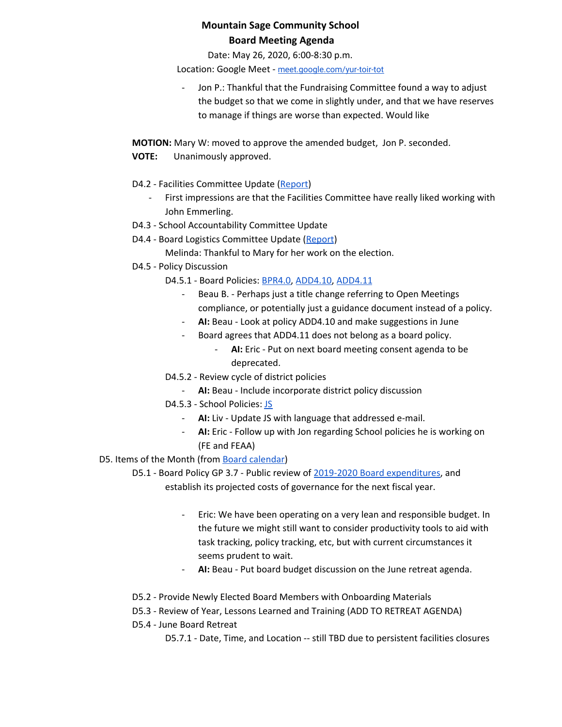Date: May 26, 2020, 6:00-8:30 p.m.

Location: Google Meet - [meet.google.com/yur-toir-tot](http://meet.google.com/yur-toir-tot)

- Jon P.: Thankful that the Fundraising Committee found a way to adjust the budget so that we come in slightly under, and that we have reserves to manage if things are worse than expected. Would like

**MOTION:** Mary W: moved to approve the amended budget, Jon P. seconded.

- **VOTE:** Unanimously approved.
- D4.2 Facilities Committee Update [\(Report\)](https://docs.google.com/document/d/1quD0eQX9zSaM5dnnfm2jcCpKTE2Pf0yfQ0R9kZmS9N0/edit?usp=sharing)
	- First impressions are that the Facilities Committee have really liked working with John Emmerling.
- D4.3 School Accountability Committee Update
- D4.4 Board Logistics Committee Update ([Report](https://docs.google.com/document/d/1cpxPFmbQLW0J49o2Ej4Sm1ViNEerJ-RAOyou0lLdSug/edit?usp=sharing))
	- Melinda: Thankful to Mary for her work on the election.
- D4.5 Policy Discussion

D4.5.1 - Board Policies: [BPR4.0,](https://docs.google.com/document/d/1RPCbda9rV1YdBUSFUo1brUdEaAQXdP_m__hW9TQc870) [ADD4.10,](https://docs.google.com/document/d/1V3xXA9nFS1VysNA0KFmEQ4u6WqqhQFkELG6kWdBkEkM) [ADD4.11](https://docs.google.com/document/d/1jjH1BH72bmcnKP7hXY0hZNUZ6UTW8wR0V42ZOMS3ZrI)

- Beau B. Perhaps just a title change referring to Open Meetings compliance, or potentially just a guidance document instead of a policy.
- **AI:** Beau Look at policy ADD4.10 and make suggestions in June
- Board agrees that ADD4.11 does not belong as a board policy.
	- AI: Eric Put on next board meeting consent agenda to be deprecated.
- D4.5.2 Review cycle of district policies
	- **AI:** Beau Include incorporate district policy discussion
- D4.5.3 School Policies: [JS](https://docs.google.com/document/d/1rf5GBWs-YOgZhMLOzJxPMH3JRSSvb52K1Sytz0KNBiU)
	- **AI:** Liv Update JS with language that addressed e-mail.
	- **AI:** Eric Follow up with Jon regarding School policies he is working on (FE and FEAA)

# D5. Items of the Month (from Board [calendar](https://docs.google.com/document/d/12S6s-qevYMsnj8Cr2yw6uMO7S7hL3gz2oKvXZk5ZndQ/edit?usp=sharing))

D5.1 - Board Policy GP 3.7 - Public review of 2019-2020 Board [expenditures,](https://docs.google.com/spreadsheets/d/1Ug8sqzKflIt8GFzpeggrP52r5YCZSknw0W1eu0QiLyY/edit?usp=sharing) and establish its projected costs of governance for the next fiscal year.

- Eric: We have been operating on a very lean and responsible budget. In the future we might still want to consider productivity tools to aid with task tracking, policy tracking, etc, but with current circumstances it seems prudent to wait.
- **AI:** Beau Put board budget discussion on the June retreat agenda.
- D5.2 Provide Newly Elected Board Members with Onboarding Materials
- D5.3 Review of Year, Lessons Learned and Training (ADD TO RETREAT AGENDA)
- D5.4 June Board Retreat

D5.7.1 - Date, Time, and Location -- still TBD due to persistent facilities closures